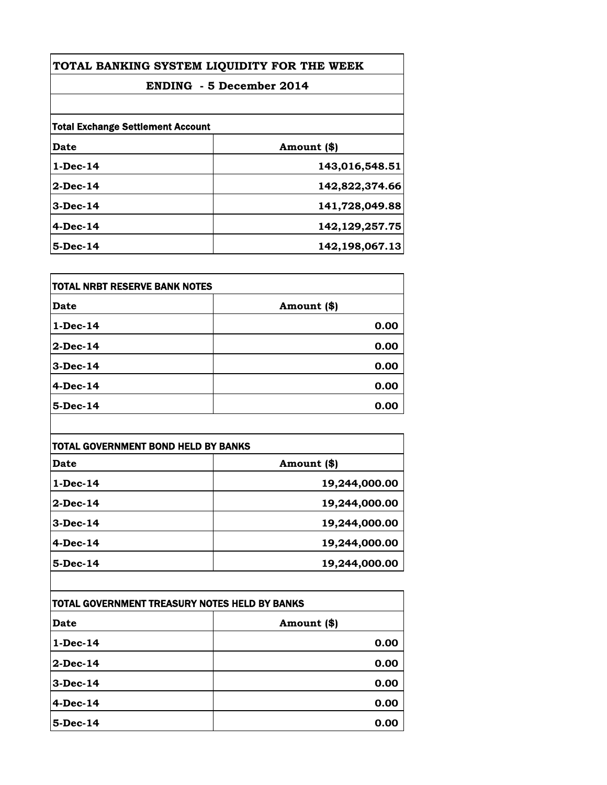| TOTAL BANKING SYSTEM LIQUIDITY FOR THE WEEK<br><b>ENDING - 5 December 2014</b> |                |
|--------------------------------------------------------------------------------|----------------|
|                                                                                |                |
| <b>Total Exchange Settlement Account</b>                                       |                |
| Date                                                                           | Amount (\$)    |
| $1-Dec-14$                                                                     | 143,016,548.51 |
| $2-Dec-14$                                                                     | 142,822,374.66 |
| $3-Dec-14$                                                                     | 141,728,049.88 |
| $4-Dec-14$                                                                     | 142,129,257.75 |
| $5$ -Dec-14                                                                    | 142,198,067.13 |

| <b>TOTAL NRBT RESERVE BANK NOTES</b> |             |
|--------------------------------------|-------------|
| <b>Date</b>                          | Amount (\$) |
| $1-Dec-14$                           | 0.00        |
| $2$ -Dec-14                          | 0.00        |
| $3-Dec-14$                           | 0.00        |
| 4-Dec-14                             | 0.00        |
| 5-Dec-14                             | 0.00        |

| TOTAL GOVERNMENT BOND HELD BY BANKS |               |
|-------------------------------------|---------------|
| Date                                | Amount (\$)   |
| $1-Dec-14$                          | 19,244,000.00 |
| 2-Dec-14                            | 19,244,000.00 |
| $3-Dec-14$                          | 19,244,000.00 |
| $4-Dec-14$                          | 19,244,000.00 |
| $5$ -Dec-14                         | 19,244,000.00 |

| TOTAL GOVERNMENT TREASURY NOTES HELD BY BANKS |              |
|-----------------------------------------------|--------------|
| <b>Date</b>                                   | Amount $(*)$ |
| $1$ -Dec-14                                   | 0.00         |
| $2$ -Dec-14                                   | 0.00         |
| $3-Dec-14$                                    | 0.00         |
| $4-Dec-14$                                    | 0.00         |
| $5$ -Dec-14                                   | 0.00         |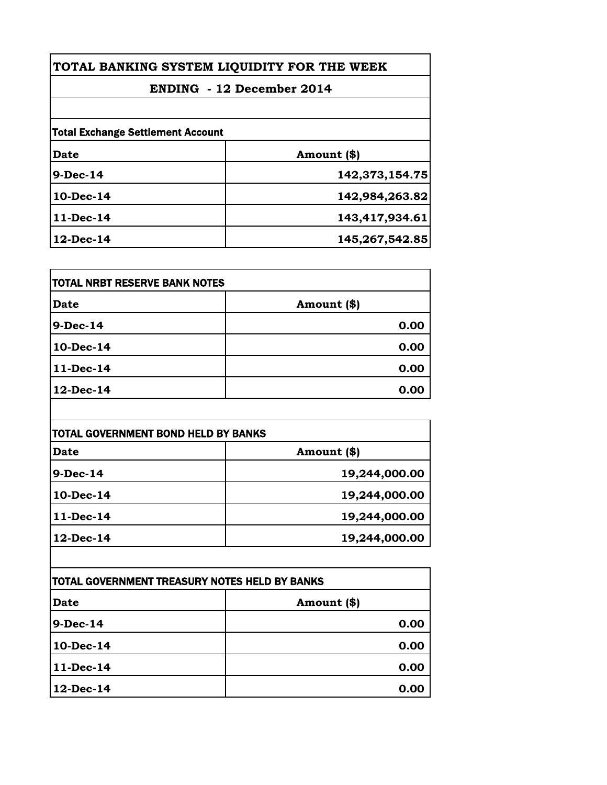| TOTAL BANKING SYSTEM LIQUIDITY FOR THE WEEK |  |
|---------------------------------------------|--|
| <b>ENDING</b> - 12 December 2014            |  |
|                                             |  |
| <b>Total Exchange Settlement Account</b>    |  |
| Amount (\$)                                 |  |
| 142,373,154.75                              |  |
| 142,984,263.82                              |  |
| 143,417,934.61                              |  |
| 145,267,542.85                              |  |
|                                             |  |

| <b>TOTAL NRBT RESERVE BANK NOTES</b> |             |
|--------------------------------------|-------------|
| <b>Date</b>                          | Amount (\$) |
| 9-Dec-14                             | 0.00        |
| 10-Dec-14                            | 0.00        |
| 11-Dec-14                            | 0.00        |
| 12-Dec-14                            | 0.00        |

| TOTAL GOVERNMENT BOND HELD BY BANKS |               |
|-------------------------------------|---------------|
| <b>Date</b>                         | Amount (\$)   |
| $9-Dec-14$                          | 19,244,000.00 |
| 10-Dec-14                           | 19,244,000.00 |
| 11-Dec-14                           | 19,244,000.00 |
| 12-Dec-14                           | 19,244,000.00 |

| TOTAL GOVERNMENT TREASURY NOTES HELD BY BANKS |             |
|-----------------------------------------------|-------------|
| <b>Date</b>                                   | Amount (\$) |
| 9-Dec-14                                      | 0.00        |
| 10-Dec-14                                     | 0.00        |
| 11-Dec-14                                     | 0.00        |
| 12-Dec-14                                     | 0.00        |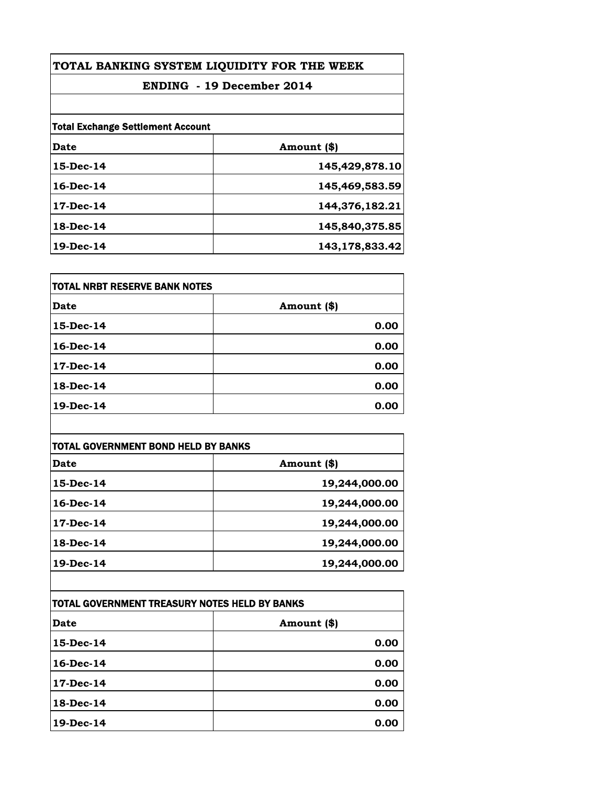| TOTAL BANKING SYSTEM LIQUIDITY FOR THE WEEK<br><b>ENDING - 19 December 2014</b> |                |
|---------------------------------------------------------------------------------|----------------|
|                                                                                 |                |
| <b>Total Exchange Settlement Account</b>                                        |                |
| Date                                                                            | Amount (\$)    |
| 15-Dec-14                                                                       | 145,429,878.10 |
| $16$ -Dec-14                                                                    | 145,469,583.59 |
| 17-Dec-14                                                                       | 144,376,182.21 |
| $18-Dec-14$                                                                     | 145,840,375.85 |
| 19-Dec-14                                                                       | 143,178,833.42 |

| <b>TOTAL NRBT RESERVE BANK NOTES</b> |             |
|--------------------------------------|-------------|
| Date                                 | Amount (\$) |
| 15-Dec-14                            | 0.00        |
| 16-Dec-14                            | 0.00        |
| 17-Dec-14                            | 0.00        |
| 18-Dec-14                            | 0.00        |
| $19$ -Dec-14                         | 0.00        |

| TOTAL GOVERNMENT BOND HELD BY BANKS |               |
|-------------------------------------|---------------|
| Date                                | Amount (\$)   |
| $15$ -Dec-14                        | 19,244,000.00 |
| $16$ -Dec-14                        | 19,244,000.00 |
| $17$ -Dec-14                        | 19,244,000.00 |
| 18-Dec-14                           | 19,244,000.00 |
| 19-Dec-14                           | 19,244,000.00 |

| TOTAL GOVERNMENT TREASURY NOTES HELD BY BANKS |             |
|-----------------------------------------------|-------------|
| <b>Date</b>                                   | Amount (\$) |
| $15$ -Dec-14                                  | 0.00        |
| $16$ -Dec-14                                  | 0.00        |
| $17$ -Dec-14                                  | 0.00        |
| $18$ -Dec-14                                  | 0.00        |
| $19$ -Dec-14                                  | 0.00        |